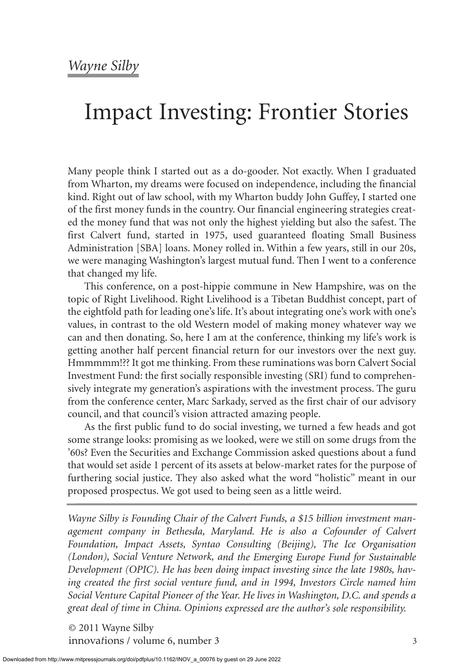# Impact Investing: Frontier Stories

Many people think I started out as a do-gooder. Not exactly. When I graduated from Wharton, my dreams were focused on independence, including the financial kind. Right out of law school, with my Wharton buddy John Guffey, I started one of the first money funds in the country. Our financial engineering strategies created the money fund that was not only the highest yielding but also the safest. The first Calvert fund, started in 1975, used guaranteed floating Small Business Administration [SBA] loans. Money rolled in. Within a few years, still in our 20s, we were managing Washington's largest mutual fund. Then I went to a conference that changed my life.

This conference, on a post-hippie commune in New Hampshire, was on the topic of Right Livelihood. Right Livelihood is a Tibetan Buddhist concept, part of the eightfold path for leading one's life. It's about integrating one's work with one's values, in contrast to the old Western model of making money whatever way we can and then donating. So, here I am at the conference, thinking my life's work is getting another half percent financial return for our investors over the next guy. Hmmmmm!?? It got me thinking. From these ruminations was born Calvert Social Investment Fund: the first socially responsible investing (SRI) fund to comprehensively integrate my generation's aspirations with the investment process. The guru from the conference center, Marc Sarkady, served as the first chair of our advisory council, and that council's vision attracted amazing people.

As the first public fund to do social investing, we turned a few heads and got some strange looks: promising as we looked, were we still on some drugs from the '60s? Even the Securities and Exchange Commission asked questions about a fund that would set aside 1 percent of its assets at below-market rates for the purpose of furthering social justice. They also asked what the word "holistic" meant in our proposed prospectus. We got used to being seen as a little weird.

*Wayne Silby is Founding Chair of the Calvert Funds, a \$15 billion investment management company in Bethesda, Maryland. He is also a Cofounder of Calvert Foundation, Impact Assets, Syntao Consulting (Beijing), The Ice Organisation (London), Social Venture Network, and the Emerging Europe Fund for Sustainable Development (OPIC). He has been doing impact investing since the late 1980s, having created the first social venture fund, and in 1994, Investors Circle named him Social Venture Capital Pioneer of the Year. He lives in Washington, D.C. and spends a great deal of time in China. Opinions expressed are the author's sole responsibility.*

© 2011 Wayne Silby innova*t*ions / volume 6, number 3 <sup>3</sup>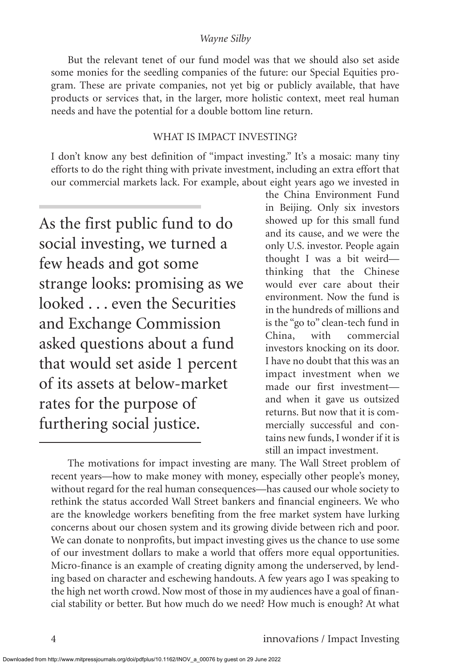## *Wayne Silby*

But the relevant tenet of our fund model was that we should also set aside some monies for the seedling companies of the future: our Special Equities program. These are private companies, not yet big or publicly available, that have products or services that, in the larger, more holistic context, meet real human needs and have the potential for a double bottom line return.

## WHAT IS IMPACT INVESTING?

I don't know any best definition of "impact investing." It's a mosaic: many tiny efforts to do the right thing with private investment, including an extra effort that our commercial markets lack. For example, about eight years ago we invested in

As the first public fund to do social investing, we turned a few heads and got some strange looks: promising as we looked . . . even the Securities and Exchange Commission asked questions about a fund that would set aside 1 percent of its assets at below-market rates for the purpose of furthering social justice.

the China Environment Fund in Beijing. Only six investors showed up for this small fund and its cause, and we were the only U.S. investor. People again thought I was a bit weird thinking that the Chinese would ever care about their environment. Now the fund is in the hundreds of millions and is the "go to" clean-tech fund in China, with commercial investors knocking on its door. I have no doubt that this was an impact investment when we made our first investment and when it gave us outsized returns. But now that it is commercially successful and contains new funds, I wonder if it is still an impact investment.

The motivations for impact investing are many. The Wall Street problem of recent years—how to make money with money, especially other people's money, without regard for the real human consequences—has caused our whole society to rethink the status accorded Wall Street bankers and financial engineers. We who are the knowledge workers benefiting from the free market system have lurking concerns about our chosen system and its growing divide between rich and poor. We can donate to nonprofits, but impact investing gives us the chance to use some of our investment dollars to make a world that offers more equal opportunities. Micro-finance is an example of creating dignity among the underserved, by lending based on character and eschewing handouts. A few years ago I was speaking to the high net worth crowd. Now most of those in my audiences have a goal of financial stability or better. But how much do we need? How much is enough? At what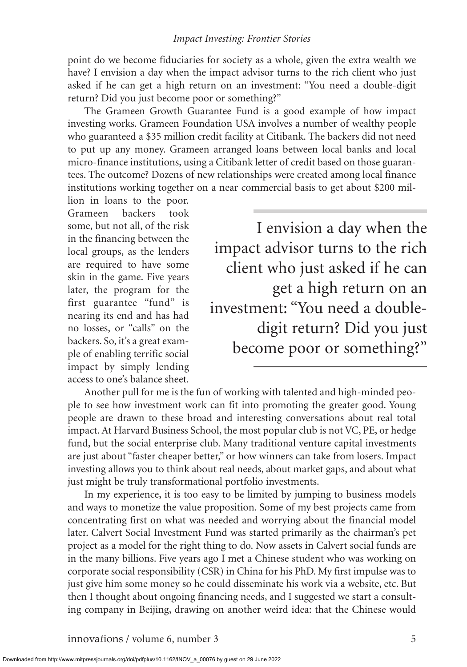point do we become fiduciaries for society as a whole, given the extra wealth we have? I envision a day when the impact advisor turns to the rich client who just asked if he can get a high return on an investment: "You need a double-digit return? Did you just become poor or something?"

The Grameen Growth Guarantee Fund is a good example of how impact investing works. Grameen Foundation USA involves a number of wealthy people who guaranteed a \$35 million credit facility at Citibank. The backers did not need to put up any money. Grameen arranged loans between local banks and local micro-finance institutions, using a Citibank letter of credit based on those guarantees. The outcome? Dozens of new relationships were created among local finance institutions working together on a near commercial basis to get about \$200 mil-

lion in loans to the poor. Grameen backers took some, but not all, of the risk in the financing between the local groups, as the lenders are required to have some skin in the game. Five years later, the program for the first guarantee "fund" is nearing its end and has had no losses, or "calls" on the backers. So, it's a great example of enabling terrific social impact by simply lending access to one's balance sheet.

I envision a day when the impact advisor turns to the rich client who just asked if he can get a high return on an investment: "You need a doubledigit return? Did you just become poor or something?"

Another pull for me is the fun of working with talented and high-minded people to see how investment work can fit into promoting the greater good. Young people are drawn to these broad and interesting conversations about real total impact. At Harvard Business School, the most popular club is not VC, PE, or hedge fund, but the social enterprise club. Many traditional venture capital investments are just about "faster cheaper better," or how winners can take from losers. Impact investing allows you to think about real needs, about market gaps, and about what just might be truly transformational portfolio investments.

In my experience, it is too easy to be limited by jumping to business models and ways to monetize the value proposition. Some of my best projects came from concentrating first on what was needed and worrying about the financial model later. Calvert Social Investment Fund was started primarily as the chairman's pet project as a model for the right thing to do. Now assets in Calvert social funds are in the many billions. Five years ago I met a Chinese student who was working on corporate social responsibility (CSR) in China for his PhD. My first impulse was to just give him some money so he could disseminate his work via a website, etc. But then I thought about ongoing financing needs, and I suggested we start a consulting company in Beijing, drawing on another weird idea: that the Chinese would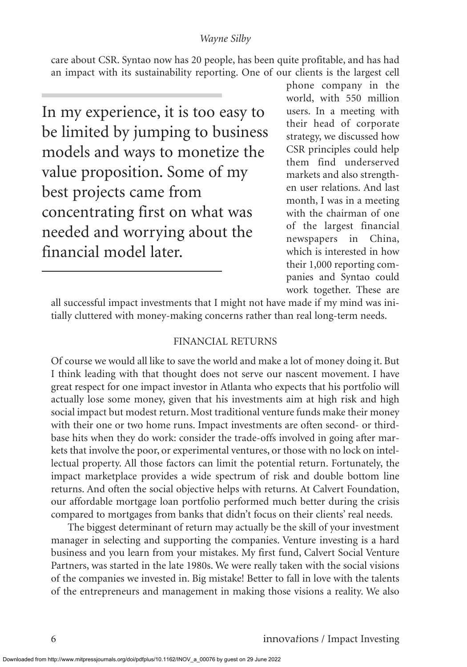#### *Wayne Silby*

care about CSR. Syntao now has 20 people, has been quite profitable, and has had an impact with its sustainability reporting. One of our clients is the largest cell

In my experience, it is too easy to be limited by jumping to business models and ways to monetize the value proposition. Some of my best projects came from concentrating first on what was needed and worrying about the financial model later.

phone company in the world, with 550 million users. In a meeting with their head of corporate strategy, we discussed how CSR principles could help them find underserved markets and also strengthen user relations. And last month, I was in a meeting with the chairman of one of the largest financial newspapers in China, which is interested in how their 1,000 reporting companies and Syntao could work together. These are

all successful impact investments that I might not have made if my mind was initially cluttered with money-making concerns rather than real long-term needs.

## FINANCIAL RETURNS

Of course we would all like to save the world and make a lot of money doing it. But I think leading with that thought does not serve our nascent movement. I have great respect for one impact investor in Atlanta who expects that his portfolio will actually lose some money, given that his investments aim at high risk and high social impact but modest return. Most traditional venture funds make their money with their one or two home runs. Impact investments are often second- or thirdbase hits when they do work: consider the trade-offs involved in going after markets that involve the poor, or experimental ventures, or those with no lock on intellectual property. All those factors can limit the potential return. Fortunately, the impact marketplace provides a wide spectrum of risk and double bottom line returns. And often the social objective helps with returns. At Calvert Foundation, our affordable mortgage loan portfolio performed much better during the crisis compared to mortgages from banks that didn't focus on their clients' real needs.

The biggest determinant of return may actually be the skill of your investment manager in selecting and supporting the companies. Venture investing is a hard business and you learn from your mistakes. My first fund, Calvert Social Venture Partners, was started in the late 1980s. We were really taken with the social visions of the companies we invested in. Big mistake! Better to fall in love with the talents of the entrepreneurs and management in making those visions a reality. We also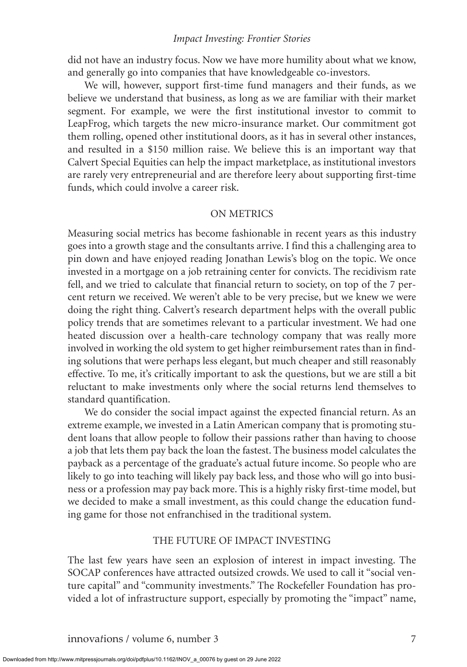#### *Impact Investing: Frontier Stories*

did not have an industry focus. Now we have more humility about what we know, and generally go into companies that have knowledgeable co-investors.

We will, however, support first-time fund managers and their funds, as we believe we understand that business, as long as we are familiar with their market segment. For example, we were the first institutional investor to commit to LeapFrog, which targets the new micro-insurance market. Our commitment got them rolling, opened other institutional doors, as it has in several other instances, and resulted in a \$150 million raise. We believe this is an important way that Calvert Special Equities can help the impact marketplace, as institutional investors are rarely very entrepreneurial and are therefore leery about supporting first-time funds, which could involve a career risk.

## ON METRICS

Measuring social metrics has become fashionable in recent years as this industry goes into a growth stage and the consultants arrive. I find this a challenging area to pin down and have enjoyed reading Jonathan Lewis's blog on the topic. We once invested in a mortgage on a job retraining center for convicts. The recidivism rate fell, and we tried to calculate that financial return to society, on top of the 7 percent return we received. We weren't able to be very precise, but we knew we were doing the right thing. Calvert's research department helps with the overall public policy trends that are sometimes relevant to a particular investment. We had one heated discussion over a health-care technology company that was really more involved in working the old system to get higher reimbursement rates than in finding solutions that were perhaps less elegant, but much cheaper and still reasonably effective. To me, it's critically important to ask the questions, but we are still a bit reluctant to make investments only where the social returns lend themselves to standard quantification.

We do consider the social impact against the expected financial return. As an extreme example, we invested in a Latin American company that is promoting student loans that allow people to follow their passions rather than having to choose a job that lets them pay back the loan the fastest. The business model calculates the payback as a percentage of the graduate's actual future income. So people who are likely to go into teaching will likely pay back less, and those who will go into business or a profession may pay back more. This is a highly risky first-time model, but we decided to make a small investment, as this could change the education funding game for those not enfranchised in the traditional system.

#### THE FUTURE OF IMPACT INVESTING

The last few years have seen an explosion of interest in impact investing. The SOCAP conferences have attracted outsized crowds. We used to call it "social venture capital" and "community investments." The Rockefeller Foundation has provided a lot of infrastructure support, especially by promoting the "impact" name,